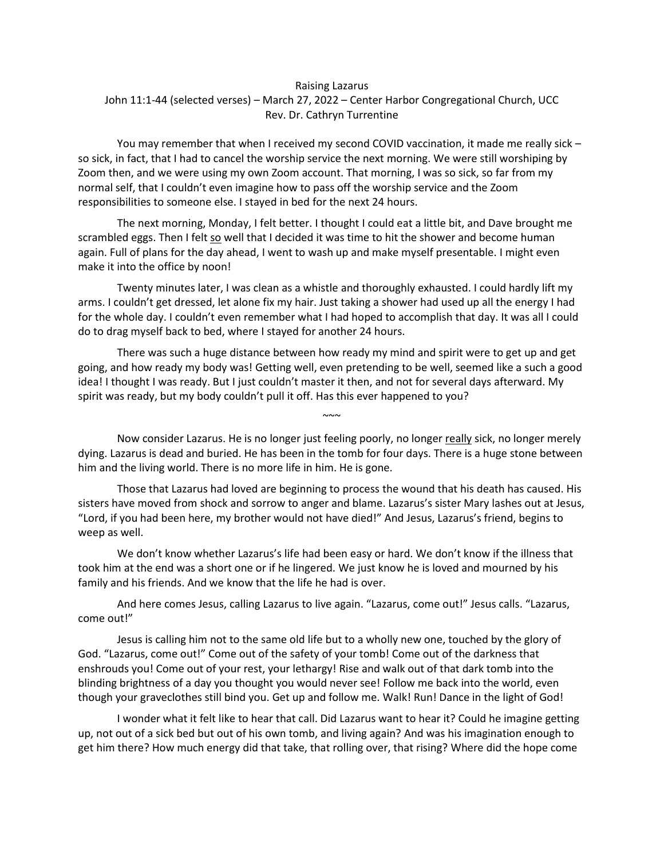## Raising Lazarus John 11:1-44 (selected verses) – March 27, 2022 – Center Harbor Congregational Church, UCC Rev. Dr. Cathryn Turrentine

You may remember that when I received my second COVID vaccination, it made me really sick – so sick, in fact, that I had to cancel the worship service the next morning. We were still worshiping by Zoom then, and we were using my own Zoom account. That morning, I was so sick, so far from my normal self, that I couldn't even imagine how to pass off the worship service and the Zoom responsibilities to someone else. I stayed in bed for the next 24 hours.

The next morning, Monday, I felt better. I thought I could eat a little bit, and Dave brought me scrambled eggs. Then I felt so well that I decided it was time to hit the shower and become human again. Full of plans for the day ahead, I went to wash up and make myself presentable. I might even make it into the office by noon!

Twenty minutes later, I was clean as a whistle and thoroughly exhausted. I could hardly lift my arms. I couldn't get dressed, let alone fix my hair. Just taking a shower had used up all the energy I had for the whole day. I couldn't even remember what I had hoped to accomplish that day. It was all I could do to drag myself back to bed, where I stayed for another 24 hours.

There was such a huge distance between how ready my mind and spirit were to get up and get going, and how ready my body was! Getting well, even pretending to be well, seemed like a such a good idea! I thought I was ready. But I just couldn't master it then, and not for several days afterward. My spirit was ready, but my body couldn't pull it off. Has this ever happened to you?

Now consider Lazarus. He is no longer just feeling poorly, no longer really sick, no longer merely dying. Lazarus is dead and buried. He has been in the tomb for four days. There is a huge stone between him and the living world. There is no more life in him. He is gone.

 $\sim$   $\sim$ 

Those that Lazarus had loved are beginning to process the wound that his death has caused. His sisters have moved from shock and sorrow to anger and blame. Lazarus's sister Mary lashes out at Jesus, "Lord, if you had been here, my brother would not have died!" And Jesus, Lazarus's friend, begins to weep as well.

We don't know whether Lazarus's life had been easy or hard. We don't know if the illness that took him at the end was a short one or if he lingered. We just know he is loved and mourned by his family and his friends. And we know that the life he had is over.

And here comes Jesus, calling Lazarus to live again. "Lazarus, come out!" Jesus calls. "Lazarus, come out!"

Jesus is calling him not to the same old life but to a wholly new one, touched by the glory of God. "Lazarus, come out!" Come out of the safety of your tomb! Come out of the darkness that enshrouds you! Come out of your rest, your lethargy! Rise and walk out of that dark tomb into the blinding brightness of a day you thought you would never see! Follow me back into the world, even though your graveclothes still bind you. Get up and follow me. Walk! Run! Dance in the light of God!

I wonder what it felt like to hear that call. Did Lazarus want to hear it? Could he imagine getting up, not out of a sick bed but out of his own tomb, and living again? And was his imagination enough to get him there? How much energy did that take, that rolling over, that rising? Where did the hope come